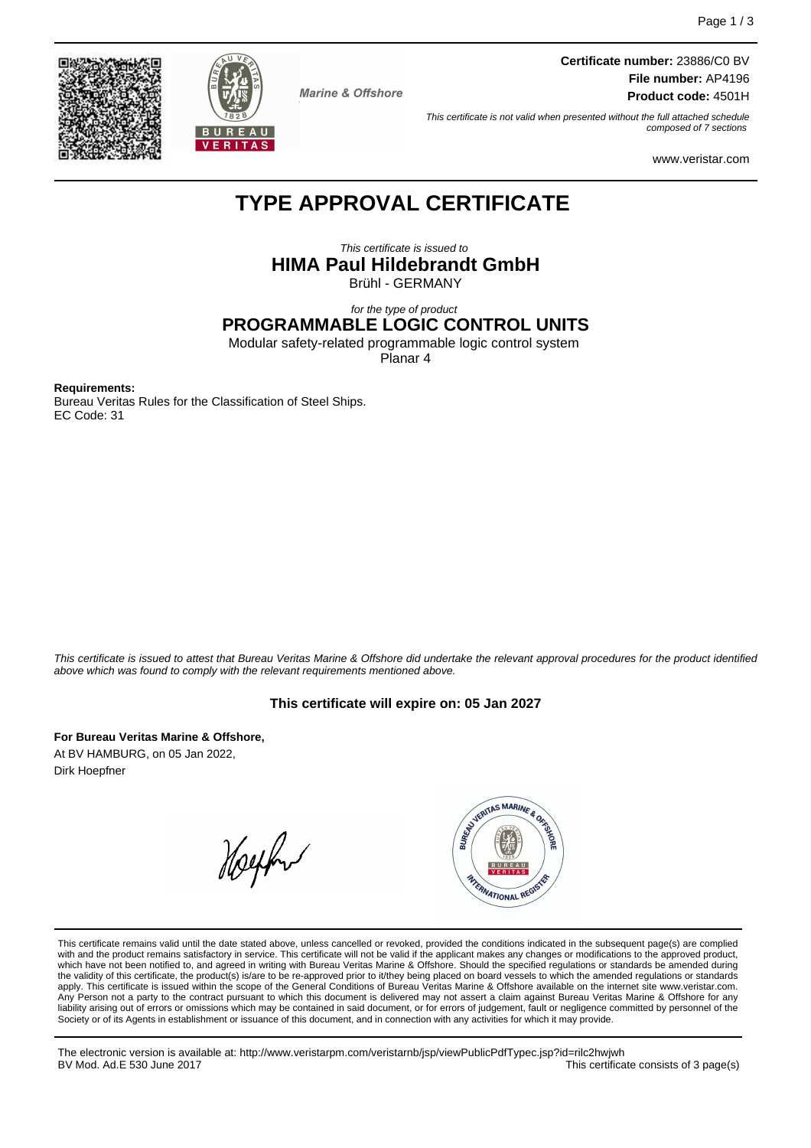



**Marine & Offshore** 

**Certificate number:** 23886/C0 BV **File number:** AP4196 **Product code:** 4501H

This certificate is not valid when presented without the full attached schedule composed of 7 sections

www.veristar.com

# **TYPE APPROVAL CERTIFICATE**

This certificate is issued to **HIMA Paul Hildebrandt GmbH** Brühl - GERMANY

#### for the type of product **PROGRAMMABLE LOGIC CONTROL UNITS**

Modular safety-related programmable logic control system

Planar 4

**Requirements:**

Bureau Veritas Rules for the Classification of Steel Ships. EC Code: 31

This certificate is issued to attest that Bureau Veritas Marine & Offshore did undertake the relevant approval procedures for the product identified above which was found to comply with the relevant requirements mentioned above.

# **This certificate will expire on: 05 Jan 2027**

**For Bureau Veritas Marine & Offshore,** At BV HAMBURG, on 05 Jan 2022, Dirk Hoepfner

Helphur



This certificate remains valid until the date stated above, unless cancelled or revoked, provided the conditions indicated in the subsequent page(s) are complied with and the product remains satisfactory in service. This certificate will not be valid if the applicant makes any changes or modifications to the approved product, which have not been notified to, and agreed in writing with Bureau Veritas Marine & Offshore. Should the specified regulations or standards be amended during<br>the validity of this certificate, the product(s) is/are to be re apply. This certificate is issued within the scope of the General Conditions of Bureau Veritas Marine & Offshore available on the internet site www.veristar.com. Any Person not a party to the contract pursuant to which this document is delivered may not assert a claim against Bureau Veritas Marine & Offshore for any liability arising out of errors or omissions which may be contained in said document, or for errors of judgement, fault or negligence committed by personnel of the<br>Society or of its Agents in establishment or issuance of t

The electronic version is available at: http://www.veristarpm.com/veristarnb/jsp/viewPublicPdfTypec.jsp?id=rilc2hwjwh BV Mod. Ad.E 530 June 2017 **This certificate consists of 3 page(s)** This certificate consists of 3 page(s)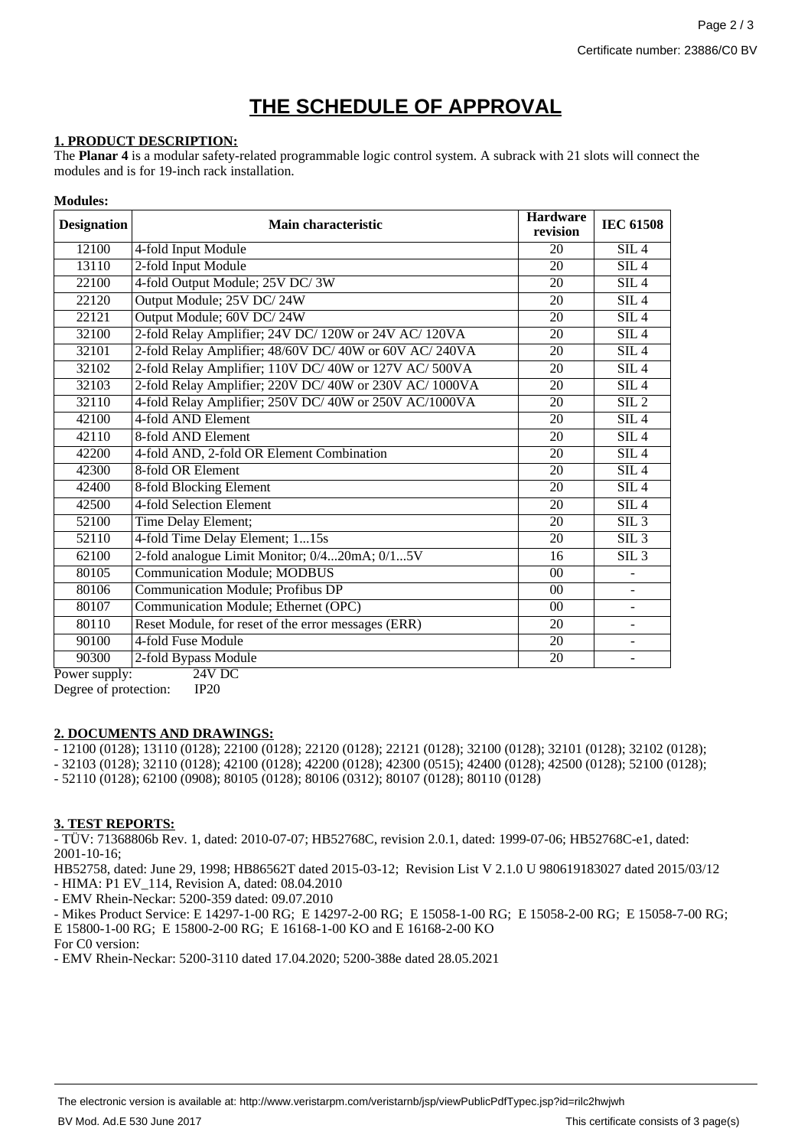# **THE SCHEDULE OF APPROVAL**

### **1. PRODUCT DESCRIPTION:**

The **Planar 4** is a modular safety-related programmable logic control system. A subrack with 21 slots will connect the modules and is for 19-inch rack installation.

#### **Modules:**

| <b>Designation</b>        | <b>Main characteristic</b>                              | <b>Hardware</b><br>revision | <b>IEC 61508</b> |
|---------------------------|---------------------------------------------------------|-----------------------------|------------------|
| 12100                     | 4-fold Input Module                                     | 20                          | SIL4             |
| 13110                     | 2-fold Input Module                                     | 20                          | SIL4             |
| 22100                     | 4-fold Output Module; 25V DC/3W                         | 20                          | SIL4             |
| 22120                     | Output Module; 25V DC/24W                               | 20                          | SIL4             |
| 22121                     | Output Module; 60V DC/24W                               | 20                          | SIL4             |
| 32100                     | 2-fold Relay Amplifier; 24V DC/ 120W or 24V AC/ 120VA   | 20                          | SIL4             |
| 32101                     | 2-fold Relay Amplifier; 48/60V DC/ 40W or 60V AC/ 240VA | 20                          | SIL4             |
| 32102                     | 2-fold Relay Amplifier; 110V DC/40W or 127V AC/500VA    | 20                          | SIL4             |
| 32103                     | 2-fold Relay Amplifier; 220V DC/40W or 230V AC/1000VA   | 20                          | SIL4             |
| 32110                     | 4-fold Relay Amplifier; 250V DC/ 40W or 250V AC/1000VA  | $\overline{20}$             | $SIL$ 2          |
| 42100                     | 4-fold AND Element                                      | 20                          | SIL4             |
| 42110                     | 8-fold AND Element                                      | 20                          | SIL4             |
| 42200                     | 4-fold AND, 2-fold OR Element Combination               | 20                          | SIL4             |
| 42300                     | 8-fold OR Element                                       | 20                          | SIL4             |
| 42400                     | 8-fold Blocking Element                                 | 20                          | SIL4             |
| 42500                     | 4-fold Selection Element                                | 20                          | SIL4             |
| 52100                     | Time Delay Element;                                     | 20                          | $SIL$ 3          |
| 52110                     | 4-fold Time Delay Element; 115s                         | 20                          | $SIL$ 3          |
| 62100                     | 2-fold analogue Limit Monitor; 0/420mA; 0/15V           | 16                          | $SIL$ 3          |
| 80105                     | <b>Communication Module; MODBUS</b>                     | 00                          |                  |
| 80106                     | Communication Module; Profibus DP                       | $00\,$                      |                  |
| 80107                     | Communication Module; Ethernet (OPC)                    | 00                          |                  |
| 80110                     | Reset Module, for reset of the error messages (ERR)     | 20                          |                  |
| 90100                     | 4-fold Fuse Module                                      | $\overline{20}$             |                  |
| 90300                     | 2-fold Bypass Module                                    | 20                          |                  |
| $24V$ DC<br>Power supply: |                                                         |                             |                  |

Degree of protection: IP20

#### **2. DOCUMENTS AND DRAWINGS:**

- 12100 (0128); 13110 (0128); 22100 (0128); 22120 (0128); 22121 (0128); 32100 (0128); 32101 (0128); 32102 (0128);

- 32103 (0128); 32110 (0128); 42100 (0128); 42200 (0128); 42300 (0515); 42400 (0128); 42500 (0128); 52100 (0128);

- 52110 (0128); 62100 (0908); 80105 (0128); 80106 (0312); 80107 (0128); 80110 (0128)

### **3. TEST REPORTS:**

- TÜV: 71368806b Rev. 1, dated: 2010-07-07; HB52768C, revision 2.0.1, dated: 1999-07-06; HB52768C-e1, dated: 2001-10-16;

HB52758, dated: June 29, 1998; HB86562T dated 2015-03-12; Revision List V 2.1.0 U 980619183027 dated 2015/03/12 - HIMA: P1 EV\_114, Revision A, dated: 08.04.2010

- EMV Rhein-Neckar: 5200-359 dated: 09.07.2010

- Mikes Product Service: E 14297-1-00 RG; E 14297-2-00 RG; E 15058-1-00 RG; E 15058-2-00 RG; E 15058-7-00 RG; E 15800-1-00 RG; E 15800-2-00 RG; E 16168-1-00 KO and E 16168-2-00 KO

For C0 version:

- EMV Rhein-Neckar: 5200-3110 dated 17.04.2020; 5200-388e dated 28.05.2021